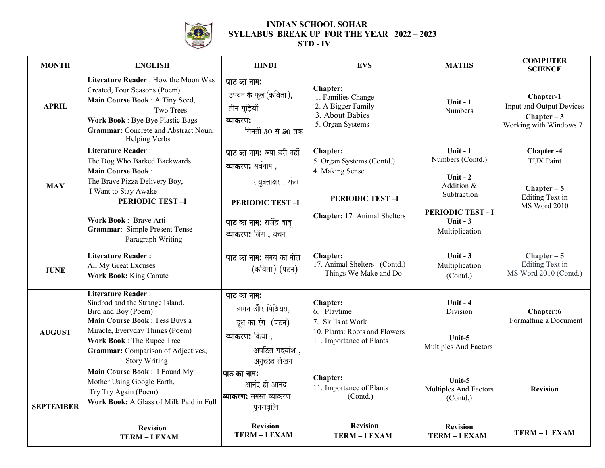

## **INDIAN SCHOOL SOHAR SYLLABUS BREAK UP FOR THE YEAR 2022 – 2023**

## **STD - IV**

| Literature Reader: How the Moon Was<br>पाठ का नाम:<br>Chapter:<br>Created, Four Seasons (Poem)<br>उपवन के फूल (कविता),<br>1. Families Change<br>Main Course Book: A Tiny Seed,<br>Unit $-1$<br>2. A Bigger Family<br><b>APRIL</b><br>तीन गुड़ियाँ<br>Two Trees<br><b>Numbers</b><br>3. About Babies<br><b>Work Book: Bye Bye Plastic Bags</b><br>व्याकरण:<br>5. Organ Systems<br>Grammar: Concrete and Abstract Noun,<br>गिनती 30 से 50 तक<br><b>Helping Verbs</b><br>Unit - $1$<br><b>Literature Reader:</b><br>Chapter:<br>पाठ का नाम: रूपा डरी नहीं<br>Numbers (Contd.)<br>5. Organ Systems (Contd.)<br>The Dog Who Barked Backwards<br>व्याकरण: सर्वनाम),<br><b>Main Course Book:</b><br>4. Making Sense<br>Unit $-2$<br>The Brave Pizza Delivery Boy,<br>संयुक्ताक्षर , संज्ञा<br>Addition &<br><b>MAY</b><br>I Want to Stay Awake<br>Subtraction<br><b>PERIODIC TEST-I</b><br><b>PERIODIC TEST-I</b><br><b>PERIODIC TEST-I</b><br><b>PERIODIC TEST - I</b><br>Chapter: 17 Animal Shelters<br>Work Book: Brave Arti<br>Unit $-3$<br><b>पाठ का नाम:</b> राजेंद्र बाबू<br>Grammar: Simple Present Tense<br>Multiplication<br>व्याकरण: लिंग, वचन<br>Paragraph Writing<br><b>Literature Reader:</b><br>Chapter:<br>Unit - $3$<br>पाठ का नाम: समय का मोल<br>17. Animal Shelters (Contd.)<br>All My Great Excuses<br>Multiplication<br>(कविता) (पठन)<br><b>JUNE</b><br>Things We Make and Do<br>Work Book: King Canute<br>(Contd.)<br><b>Literature Reader:</b><br>पाठ का नाम:<br>Sindbad and the Strange Island.<br>Unit $-4$<br><b>Chapter:</b><br>डामन और पिथियस,<br>Bird and Boy (Poem)<br>6. Playtime<br>Division<br>Main Course Book: Tess Buys a<br>7. Skills at Work<br>दूध का रंग (पठन)<br>Miracle, Everyday Things (Poem)<br>10. Plants: Roots and Flowers<br><b>AUGUST</b><br><b>व्याकरण:</b> क्रिया ,<br>Unit-5<br>Work Book: The Rupee Tree<br>11. Importance of Plants<br>Multiples And Factors<br>अपठित गदयांश,<br>Grammar: Comparison of Adjectives,<br>अनुच्छेद लेखन<br><b>Story Writing</b><br>Main Course Book: I Found My<br> पाठ का नाम:<br>Chapter:<br>Unit-5<br>Mother Using Google Earth,<br>आनंद ही आनंद | <b>MONTH</b> | <b>ENGLISH</b>       | <b>HINDI</b> | <b>EVS</b>               | <b>MATHS</b>          | <b>COMPUTER</b><br><b>SCIENCE</b>                                                         |
|----------------------------------------------------------------------------------------------------------------------------------------------------------------------------------------------------------------------------------------------------------------------------------------------------------------------------------------------------------------------------------------------------------------------------------------------------------------------------------------------------------------------------------------------------------------------------------------------------------------------------------------------------------------------------------------------------------------------------------------------------------------------------------------------------------------------------------------------------------------------------------------------------------------------------------------------------------------------------------------------------------------------------------------------------------------------------------------------------------------------------------------------------------------------------------------------------------------------------------------------------------------------------------------------------------------------------------------------------------------------------------------------------------------------------------------------------------------------------------------------------------------------------------------------------------------------------------------------------------------------------------------------------------------------------------------------------------------------------------------------------------------------------------------------------------------------------------------------------------------------------------------------------------------------------------------------------------------------------------------------------------------------------------------------------------------------------------------------------------------------------------|--------------|----------------------|--------------|--------------------------|-----------------------|-------------------------------------------------------------------------------------------|
|                                                                                                                                                                                                                                                                                                                                                                                                                                                                                                                                                                                                                                                                                                                                                                                                                                                                                                                                                                                                                                                                                                                                                                                                                                                                                                                                                                                                                                                                                                                                                                                                                                                                                                                                                                                                                                                                                                                                                                                                                                                                                                                                  |              |                      |              |                          |                       | Chapter-1<br>Input and Output Devices<br>Chapter $-3$<br>Working with Windows 7           |
|                                                                                                                                                                                                                                                                                                                                                                                                                                                                                                                                                                                                                                                                                                                                                                                                                                                                                                                                                                                                                                                                                                                                                                                                                                                                                                                                                                                                                                                                                                                                                                                                                                                                                                                                                                                                                                                                                                                                                                                                                                                                                                                                  |              |                      |              |                          |                       | Chapter -4<br><b>TUX Paint</b><br>$Chapter - 5$<br>Editing Text in<br><b>MS Word 2010</b> |
|                                                                                                                                                                                                                                                                                                                                                                                                                                                                                                                                                                                                                                                                                                                                                                                                                                                                                                                                                                                                                                                                                                                                                                                                                                                                                                                                                                                                                                                                                                                                                                                                                                                                                                                                                                                                                                                                                                                                                                                                                                                                                                                                  |              |                      |              |                          |                       | $Chapter - 5$<br>Editing Text in<br>MS Word 2010 (Contd.)                                 |
|                                                                                                                                                                                                                                                                                                                                                                                                                                                                                                                                                                                                                                                                                                                                                                                                                                                                                                                                                                                                                                                                                                                                                                                                                                                                                                                                                                                                                                                                                                                                                                                                                                                                                                                                                                                                                                                                                                                                                                                                                                                                                                                                  |              |                      |              |                          |                       | Chapter:6<br>Formatting a Document                                                        |
| <b>व्याकरण:</b> समस्त व्याकरण<br>(Contd.)<br>(Contd.)<br>Work Book: A Glass of Milk Paid in Full<br><b>SEPTEMBER</b><br>पुनरावृत्ति<br><b>Revision</b><br><b>Revision</b><br><b>Revision</b><br><b>Revision</b><br>TERM-I EXAM<br>TERM-I EXAM<br>TERM-I EXAM<br><b>TERM - I EXAM</b>                                                                                                                                                                                                                                                                                                                                                                                                                                                                                                                                                                                                                                                                                                                                                                                                                                                                                                                                                                                                                                                                                                                                                                                                                                                                                                                                                                                                                                                                                                                                                                                                                                                                                                                                                                                                                                             |              | Try Try Again (Poem) |              | 11. Importance of Plants | Multiples And Factors | <b>Revision</b><br>TERM-I EXAM                                                            |